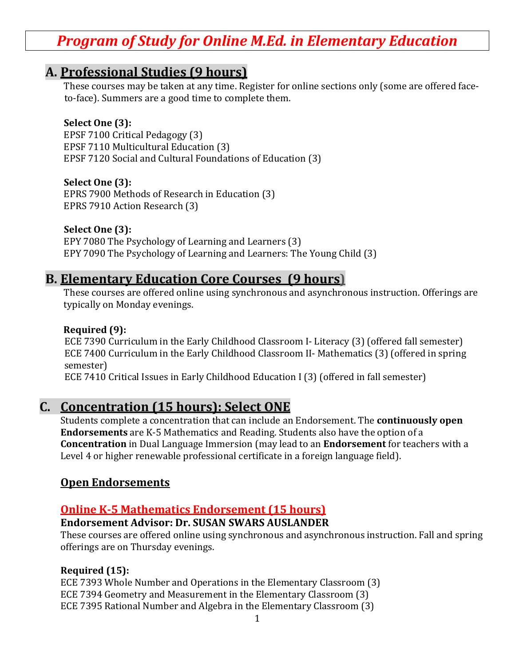# *Program of Study for Online M.Ed. in Elementary Education*

# **A. Professional Studies (9 hours)**

These courses may be taken at any time. Register for online sections only (some are offered faceto-face). Summers are a good time to complete them.

#### **Select One (3):**

EPSF 7100 Critical Pedagogy (3) EPSF 7110 Multicultural Education (3) EPSF 7120 Social and Cultural Foundations of Education (3)

#### **Select One (3):**

EPRS 7900 Methods of Research in Education (3) EPRS 7910 Action Research (3)

#### **Select One (3):**

EPY 7080 The Psychology of Learning and Learners (3) EPY 7090 The Psychology of Learning and Learners: The Young Child (3)

# **B. Elementary Education Core Courses (9 hours)**

These courses are offered online using synchronous and asynchronous instruction. Offerings are typically on Monday evenings.

#### **Required (9):**

ECE 7390 Curriculum in the Early Childhood Classroom I- Literacy (3) (offered fall semester) ECE 7400 Curriculum in the Early Childhood Classroom II- Mathematics (3) (offered in spring semester)

ECE 7410 Critical Issues in Early Childhood Education I (3) (offered in fall semester)

## **C. Concentration (15 hours): Select ONE**

Students complete a concentration that can include an Endorsement. The **continuously open Endorsements** are K-5 Mathematics and Reading. Students also have the option of a **Concentration** in Dual Language Immersion (may lead to an **Endorsement** for teachers with a Level 4 or higher renewable professional certificate in a foreign language field).

### **Open Endorsements**

### **Online K-5 Mathematics Endorsement (15 hours)**

#### **Endorsement Advisor: Dr. SUSAN SWARS AUSLANDER**

These courses are offered online using synchronous and asynchronous instruction. Fall and spring offerings are on Thursday evenings.

#### **Required (15):**

ECE 7393 Whole Number and Operations in the Elementary Classroom (3) ECE 7394 Geometry and Measurement in the Elementary Classroom (3) ECE 7395 Rational Number and Algebra in the Elementary Classroom (3)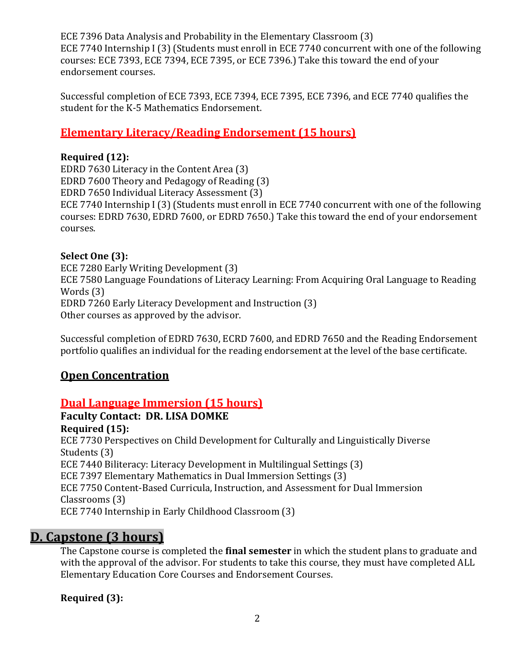ECE 7396 Data Analysis and Probability in the Elementary Classroom (3) ECE 7740 Internship I (3) (Students must enroll in ECE 7740 concurrent with one of the following courses: ECE 7393, ECE 7394, ECE 7395, or ECE 7396.) Take this toward the end of your endorsement courses.

Successful completion of ECE 7393, ECE 7394, ECE 7395, ECE 7396, and ECE 7740 qualifies the student for the K-5 Mathematics Endorsement.

# **Elementary Literacy/Reading Endorsement (15 hours)**

#### **Required (12):**

EDRD 7630 Literacy in the Content Area (3) EDRD 7600 Theory and Pedagogy of Reading (3) EDRD 7650 Individual Literacy Assessment (3) ECE 7740 Internship I (3) (Students must enroll in ECE 7740 concurrent with one of the following courses: EDRD 7630, EDRD 7600, or EDRD 7650.) Take this toward the end of your endorsement courses.

#### **Select One (3):**

ECE 7280 Early Writing Development (3) ECE 7580 Language Foundations of Literacy Learning: From Acquiring Oral Language to Reading Words (3) EDRD 7260 Early Literacy Development and Instruction (3) Other courses as approved by the advisor.

Successful completion of EDRD 7630, ECRD 7600, and EDRD 7650 and the Reading Endorsement portfolio qualifies an individual for the reading endorsement at the level of the base certificate.

### **Open Concentration**

### **Dual Language Immersion (15 hours)**

**Faculty Contact: DR. LISA DOMKE** 

**Required (15):** ECE 7730 Perspectives on Child Development for Culturally and Linguistically Diverse Students (3) ECE 7440 Biliteracy: Literacy Development in Multilingual Settings (3) ECE 7397 Elementary Mathematics in Dual Immersion Settings (3) ECE 7750 Content-Based Curricula, Instruction, and Assessment for Dual Immersion Classrooms (3) ECE 7740 Internship in Early Childhood Classroom (3)

# **D. Capstone (3 hours)**

The Capstone course is completed the **final semester** in which the student plans to graduate and with the approval of the advisor. For students to take this course, they must have completed ALL Elementary Education Core Courses and Endorsement Courses.

**Required (3):**